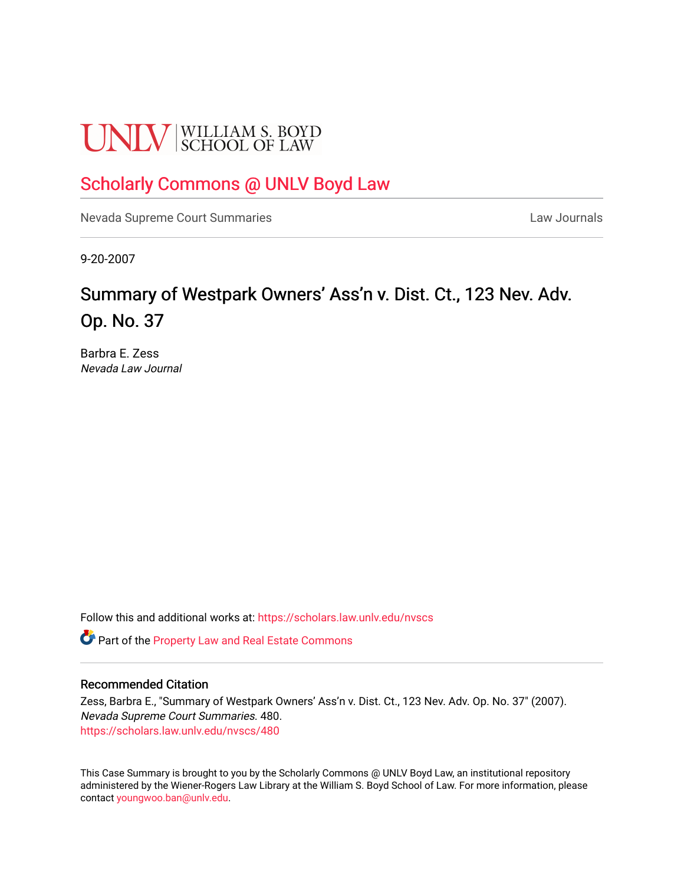# **UNLV** SCHOOL OF LAW

# [Scholarly Commons @ UNLV Boyd Law](https://scholars.law.unlv.edu/)

[Nevada Supreme Court Summaries](https://scholars.law.unlv.edu/nvscs) **Law Journals** Law Journals

9-20-2007

# Summary of Westpark Owners' Ass'n v. Dist. Ct., 123 Nev. Adv. Op. No. 37

Barbra E. Zess Nevada Law Journal

Follow this and additional works at: [https://scholars.law.unlv.edu/nvscs](https://scholars.law.unlv.edu/nvscs?utm_source=scholars.law.unlv.edu%2Fnvscs%2F480&utm_medium=PDF&utm_campaign=PDFCoverPages)

Part of the [Property Law and Real Estate Commons](http://network.bepress.com/hgg/discipline/897?utm_source=scholars.law.unlv.edu%2Fnvscs%2F480&utm_medium=PDF&utm_campaign=PDFCoverPages) 

#### Recommended Citation

Zess, Barbra E., "Summary of Westpark Owners' Ass'n v. Dist. Ct., 123 Nev. Adv. Op. No. 37" (2007). Nevada Supreme Court Summaries. 480. [https://scholars.law.unlv.edu/nvscs/480](https://scholars.law.unlv.edu/nvscs/480?utm_source=scholars.law.unlv.edu%2Fnvscs%2F480&utm_medium=PDF&utm_campaign=PDFCoverPages)

This Case Summary is brought to you by the Scholarly Commons @ UNLV Boyd Law, an institutional repository administered by the Wiener-Rogers Law Library at the William S. Boyd School of Law. For more information, please contact [youngwoo.ban@unlv.edu](mailto:youngwoo.ban@unlv.edu).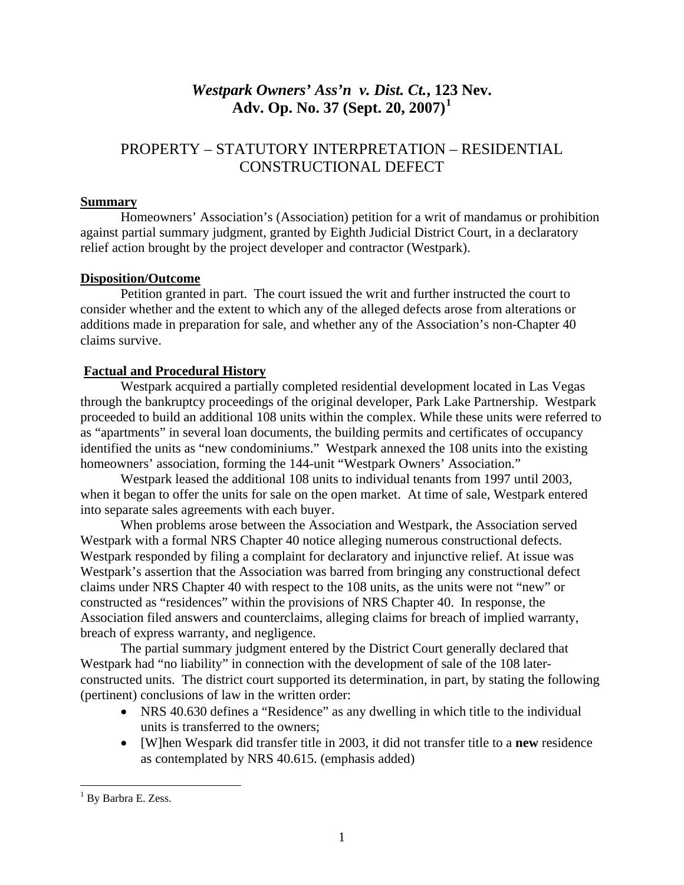# *Westpark Owners' Ass'n v. Dist. Ct.***, 123 Nev. Adv. Op. No. 37 (Sept. 20, 2007)[1](#page-1-0)**

## PROPERTY – STATUTORY INTERPRETATION – RESIDENTIAL CONSTRUCTIONAL DEFECT

#### **Summary**

Homeowners' Association's (Association) petition for a writ of mandamus or prohibition against partial summary judgment, granted by Eighth Judicial District Court, in a declaratory relief action brought by the project developer and contractor (Westpark).

## **Disposition/Outcome**

Petition granted in part. The court issued the writ and further instructed the court to consider whether and the extent to which any of the alleged defects arose from alterations or additions made in preparation for sale, and whether any of the Association's non-Chapter 40 claims survive.

## **Factual and Procedural History**

Westpark acquired a partially completed residential development located in Las Vegas through the bankruptcy proceedings of the original developer, Park Lake Partnership. Westpark proceeded to build an additional 108 units within the complex. While these units were referred to as "apartments" in several loan documents, the building permits and certificates of occupancy identified the units as "new condominiums." Westpark annexed the 108 units into the existing homeowners' association, forming the 144-unit "Westpark Owners' Association."

 Westpark leased the additional 108 units to individual tenants from 1997 until 2003, when it began to offer the units for sale on the open market. At time of sale, Westpark entered into separate sales agreements with each buyer.

 When problems arose between the Association and Westpark, the Association served Westpark with a formal NRS Chapter 40 notice alleging numerous constructional defects. Westpark responded by filing a complaint for declaratory and injunctive relief. At issue was Westpark's assertion that the Association was barred from bringing any constructional defect claims under NRS Chapter 40 with respect to the 108 units, as the units were not "new" or constructed as "residences" within the provisions of NRS Chapter 40. In response, the Association filed answers and counterclaims, alleging claims for breach of implied warranty, breach of express warranty, and negligence.

 The partial summary judgment entered by the District Court generally declared that Westpark had "no liability" in connection with the development of sale of the 108 laterconstructed units. The district court supported its determination, in part, by stating the following (pertinent) conclusions of law in the written order:

- NRS 40.630 defines a "Residence" as any dwelling in which title to the individual units is transferred to the owners;
- [W]hen Wespark did transfer title in 2003, it did not transfer title to a **new** residence as contemplated by NRS 40.615. (emphasis added)

 $\overline{a}$ 

<span id="page-1-0"></span><sup>&</sup>lt;sup>1</sup> By Barbra E. Zess.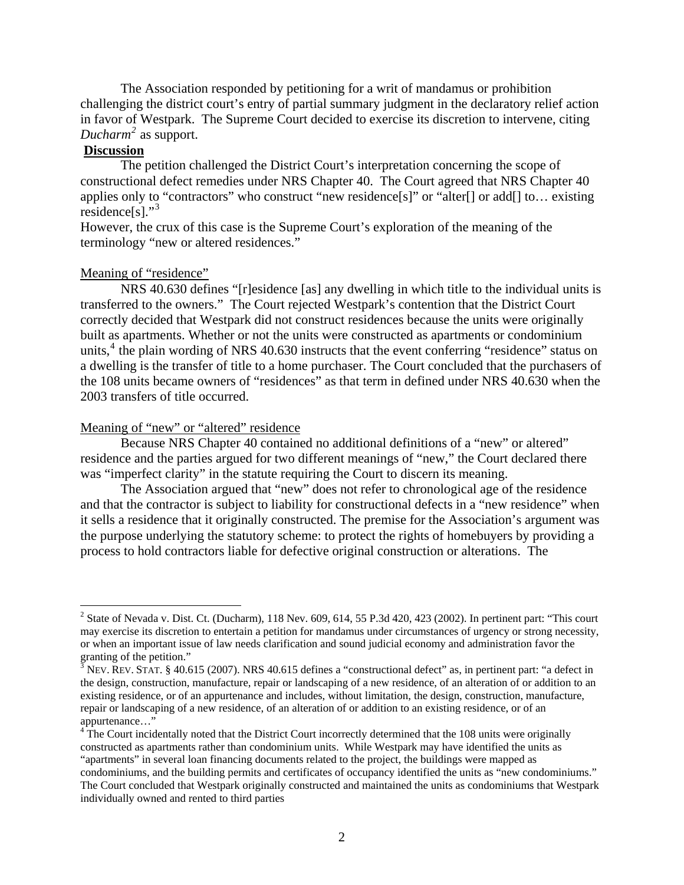The Association responded by petitioning for a writ of mandamus or prohibition challenging the district court's entry of partial summary judgment in the declaratory relief action in favor of Westpark. The Supreme Court decided to exercise its discretion to intervene, citing *Ducharm[2](#page-2-0)* as support.

#### **Discussion**

 $\overline{a}$ 

The petition challenged the District Court's interpretation concerning the scope of constructional defect remedies under NRS Chapter 40. The Court agreed that NRS Chapter 40 applies only to "contractors" who construct "new residence[s]" or "alter[] or add[] to… existing residence $[s]$ ."<sup>[3](#page-2-1)</sup>

However, the crux of this case is the Supreme Court's exploration of the meaning of the terminology "new or altered residences."

#### Meaning of "residence"

 NRS 40.630 defines "[r]esidence [as] any dwelling in which title to the individual units is transferred to the owners." The Court rejected Westpark's contention that the District Court correctly decided that Westpark did not construct residences because the units were originally built as apartments. Whether or not the units were constructed as apartments or condominium units,<sup>[4](#page-2-2)</sup> the plain wording of NRS 40.630 instructs that the event conferring "residence" status on a dwelling is the transfer of title to a home purchaser. The Court concluded that the purchasers of the 108 units became owners of "residences" as that term in defined under NRS 40.630 when the 2003 transfers of title occurred.

#### Meaning of "new" or "altered" residence

 Because NRS Chapter 40 contained no additional definitions of a "new" or altered" residence and the parties argued for two different meanings of "new," the Court declared there was "imperfect clarity" in the statute requiring the Court to discern its meaning.

 The Association argued that "new" does not refer to chronological age of the residence and that the contractor is subject to liability for constructional defects in a "new residence" when it sells a residence that it originally constructed. The premise for the Association's argument was the purpose underlying the statutory scheme: to protect the rights of homebuyers by providing a process to hold contractors liable for defective original construction or alterations. The

<span id="page-2-0"></span><sup>&</sup>lt;sup>2</sup> State of Nevada v. Dist. Ct. (Ducharm), 118 Nev. 609, 614, 55 P.3d 420, 423 (2002). In pertinent part: "This court may exercise its discretion to entertain a petition for mandamus under circumstances of urgency or strong necessity, or when an important issue of law needs clarification and sound judicial economy and administration favor the granting of the petition."<br><sup>3</sup> NEV. REV. STAT. § 40.615 (2007). NRS 40.615 defines a "constructional defect" as, in pertinent part: "a defect in

<span id="page-2-1"></span>the design, construction, manufacture, repair or landscaping of a new residence, of an alteration of or addition to an existing residence, or of an appurtenance and includes, without limitation, the design, construction, manufacture, repair or landscaping of a new residence, of an alteration of or addition to an existing residence, or of an appurtenance…"

<span id="page-2-2"></span><sup>&</sup>lt;sup>4</sup>The Court incidentally noted that the District Court incorrectly determined that the 108 units were originally constructed as apartments rather than condominium units. While Westpark may have identified the units as "apartments" in several loan financing documents related to the project, the buildings were mapped as

condominiums, and the building permits and certificates of occupancy identified the units as "new condominiums." The Court concluded that Westpark originally constructed and maintained the units as condominiums that Westpark individually owned and rented to third parties